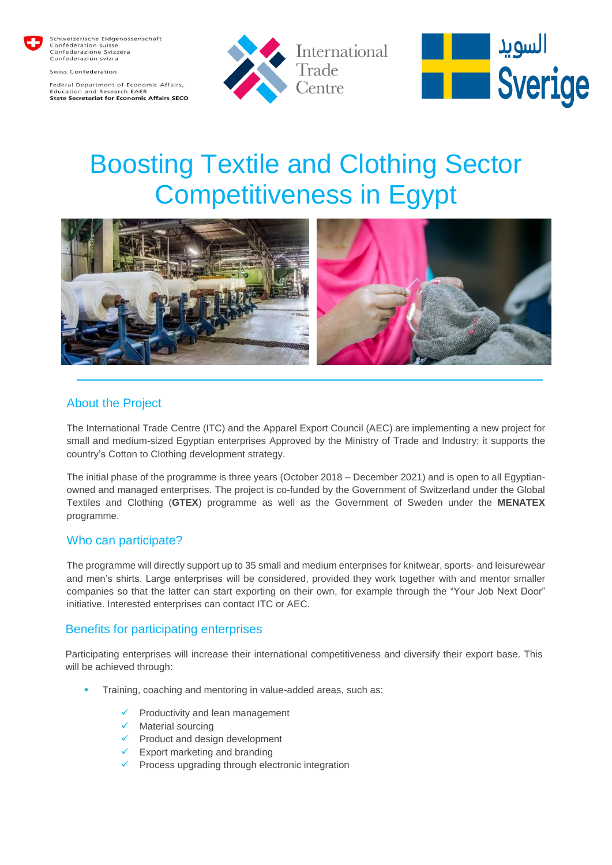

Schweizerische Eidgenossenschaft<br>Confédération suisse<br>Confederazione Svizzera Confederaziun svizra

Swiss Confederation

Federal Department of Economic Affairs, nd Research FAFR State Secretariat for Economic Affairs SECO





# Boosting Textile and Clothing Sector Competitiveness in Egypt



## About the Project

The International Trade Centre (ITC) and the Apparel Export Council (AEC) are implementing a new project for small and medium-sized Egyptian enterprises Approved by the Ministry of Trade and Industry; it supports the country's Cotton to Clothing development strategy.

The initial phase of the programme is three years (October 2018 – December 2021) and is open to all Egyptianowned and managed enterprises. The project is co-funded by the Government of Switzerland under the Global Textiles and Clothing (**GTEX**) programme as well as the Government of Sweden under the **MENATEX** programme.

### Who can participate?

The programme will directly support up to 35 small and medium enterprises for knitwear, sports- and leisurewear and men's shirts. Large enterprises will be considered, provided they work together with and mentor smaller companies so that the latter can start exporting on their own, for example through the "Your Job Next Door" initiative. Interested enterprises can contact ITC or AEC.

### Benefits for participating enterprises

Participating enterprises will increase their international competitiveness and diversify their export base. This will be achieved through:

- Training, coaching and mentoring in value-added areas, such as:
	- Productivity and lean management
	- $\checkmark$  Material sourcing
	- $\checkmark$  Product and design development
	- $\checkmark$  Export marketing and branding
	- $\checkmark$  Process upgrading through electronic integration